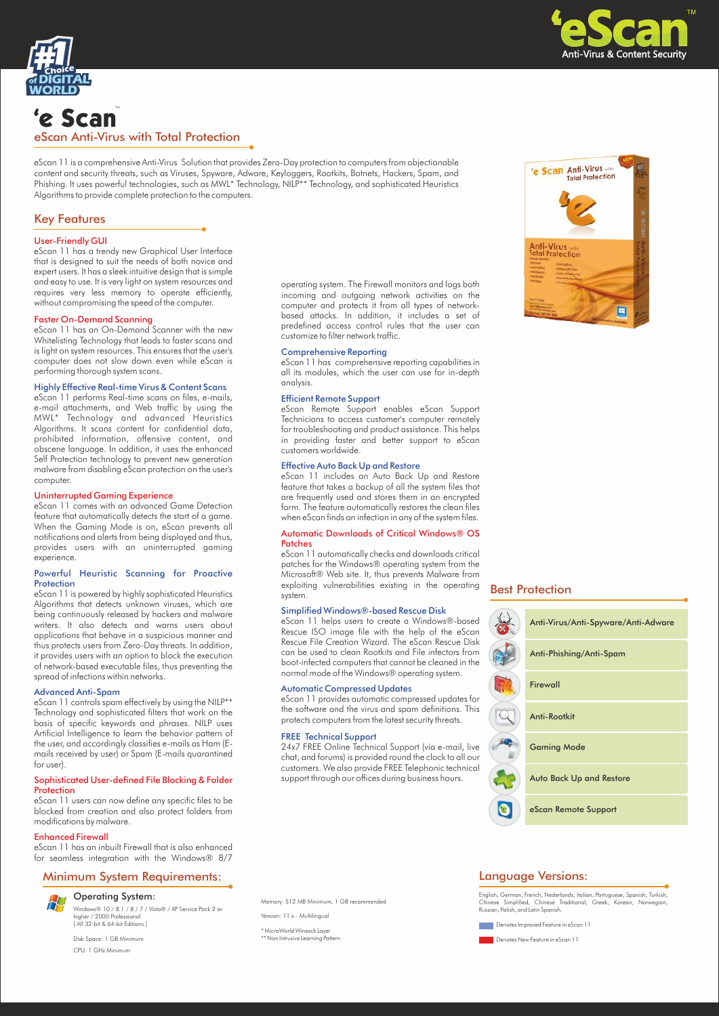



# 'e Scan eScan Anti-Virus with Total Protection

eScan 11 is a comprehensive Anti-Virus Solution that provides Zero-Day protection to computers from objectionable content and security threats, such as Viruses, Spyware, Adware, Keyloggers, Rootkits, Botnets, Hackers, Spam, and Phishing. It uses powerful technologies, such as MWL\* Technology, NILP\*\* Technology, and sophisticated Heuristics Algorithms to provide complete protection to the computers.

## Key Features

## User-Friendly GUI

eScan 11 has a trendy new Graphical User Interface that is designed to suit the needs of both novice and expert users. It has a sleek intuitive design that is simple and easy to use. It is very light on system resources and requires very less memory to operate efficiently, without compromising the speed of the computer.

## Faster On-Demand Scanning

eScan 11 has an On-Demand Scanner with the new Whitelisting Technology that leads to faster scans and is light on system resources. This ensures that the user's computer does not slow down even while eScan is performing thorough system scans.

## Highly Effective Real-time Virus & Content Scans

eScan 11 performs Real-time scans on files, e-mails, e-mail attachments, and Web traffic by using the MWL\* Technology and advanced Heuristics Algorithms. It scans content for confidential data, prohibited information, offensive content, and obscene language. In addition, it uses the enhanced Self Protection technology to prevent new generation malware from disabling eScan protection on the user's computer.

## Uninterrupted Gaming Experience

eScan 11 comes with an advanced Game Detection feature that automatically detects the start of a game. When the Gaming Mode is on, eScan prevents all notifications and alerts from being displayed and thus, provides users with an uninterrupted gaming experience.

### Powerful Heuristic Scanning for Proactive Protection

eScan 11 is powered by highly sophisticated Heuristics Algorithms that detects unknown viruses, which are being continuously released by hackers and malware writers. It also detects and warns users about applications that behave in a suspicious manner and thus protects users from Zero-Day threats. In addition, it provides users with an option to block the execution of network-based executable files, thus preventing the spread of infections within networks.

## Advanced Anti-Spam

eScan 11 controls spam effectively by using the NILP\*\* Technology and sophisticated filters that work on the basis of specific keywords and phrases. NILP uses Artificial Intelligence to learn the behavior pattern of the user, and accordingly classifies e-mails as Ham (Emails received by user) or Spam (E-mails quarantined for user).

#### Sophisticated User-defined File Blocking & Folder Protection

eScan 11 users can now define any specific files to be blocked from creation and also protect folders from modifications by malware.

## Enhanced Firewall

eScan 11 has an inbuilt Firewall that is also enhanced for seamless integration with the Windows® 8/7

## Minimum System Requirements: Language Versions:



Windows® 10 / 8.1 / 8 / 7 / Vista® / XP Service Pack 2 or higher / 2000 Professional [ All 32-bit & 64-bit Editions ] Operating System:

Disk Space: 1 GB Minimum CPU: 1 GHz Minimum

operating system. The Firewall monitors and logs both incoming and outgoing network activities on the computer and protects it from all types of networkbased attacks. In addition, it includes a set of predefined access control rules that the user can customize to filter network traffic.

## Comprehensive Reporting

eScan 11 has comprehensive reporting capabilities in all its modules, which the user can use for in-depth analysis.

#### Efficient Remote Support

eScan Remote Support enables eScan Support Technicians to access customer's computer remotely for troubleshooting and product assistance. This helps in providing faster and better support to eScan customers worldwide.

## Effective Auto Back Up and Restore

eScan 11 includes an Auto Back Up and Restore feature that takes a backup of all the system files that are frequently used and stores them in an encrypted form. The feature automatically restores the clean files when eScan finds an infection in any of the system files.

## Automatic Downloads of Critical Windows® OS Patches

eScan 11 automatically checks and downloads critical patches for the Windows® operating system from the Microsoft® Web site. It, thus prevents Malware from exploiting vulnerabilities existing in the operating system.

## Simplified Windows®-based Rescue Disk

eScan 11 helps users to create a Windows®-based Rescue ISO image file with the help of the eScan Rescue File Creation Wizard. The eScan Rescue Disk can be used to clean Rootkits and File infectors from boot-infected computers that cannot be cleaned in the normal mode of the Windows® operating system.

#### Automatic Compressed Updates

eScan 11 provides automatic compressed updates for the software and the virus and spam definitions. This protects computers from the latest security threats.

## FREE Technical Support

24x7 FREE Online Technical Support (via e-mail, live chat, and forums) is provided round the clock to all our customers. We also provide FREE Telephonic technical support through our offices during business hours.

Memory: 512 MB Minimum, 1 GB recommended

Version: 11.x - Multilingual

\* MicroWorld Winsock Layer \*\* Non Intrusive Learning Pattern



## Best Protection

| Anti-Virus/Anti-Spyware/Anti-Adware |
|-------------------------------------|
| Anti-Phishing/Anti-Spam             |
| Firewall                            |
| Anti-Rootkit                        |
| <b>Gaming Mode</b>                  |
| <b>Auto Back Up and Restore</b>     |
| eScan Remote Support                |

English, German, French, Nederlands, Italian, Portuguese, Spanish, Turkish, Chinese Simplified, Chinese Traditional, Greek, Korean, Norwegian, Russian, Polish, and Latin Spanish.

**Denotes Improved Feature in eScan 11** 

**Denotes New Feature in eScan 11**